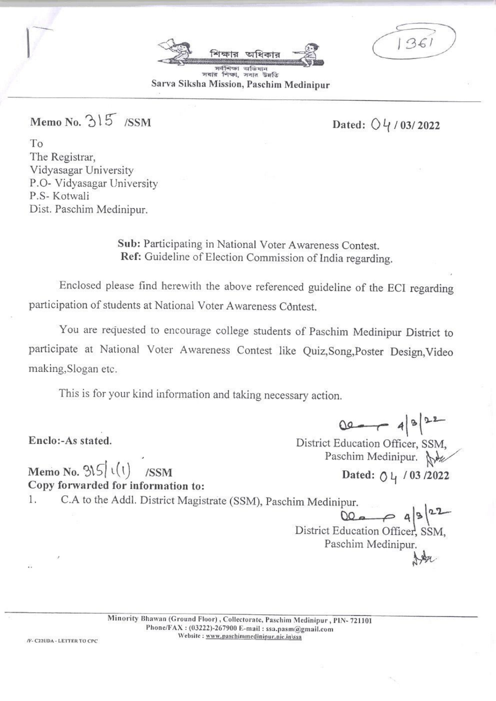সবার শিক্ষা, সবার উলতি Sarva Siksha Mission, Paschim Medinipur

Memo No. 315 /SSM

# Dated:  $04/03/2022$

To The Registrar. Vidyasagar University P.O- Vidyasagar University P.S- Kotwali Dist. Paschim Medinipur.

> Sub: Participating in National Voter Awareness Contest. Ref: Guideline of Election Commission of India regarding.

Enclosed please find herewith the above referenced guideline of the ECI regarding participation of students at National Voter Awareness Contest.

You are requested to encourage college students of Paschim Medinipur District to participate at National Voter Awareness Contest like Quiz, Song, Poster Design, Video making, Slogan etc.

This is for your kind information and taking necessary action.

Enclo:-As stated.

 $00 - 482$ 

District Education Officer, SSM, Paschim Medinipur. Ne Dated: 04 / 03 /2022

Memo No.  $3\sqrt{5}$  (1) /SSM Copy forwarded for information to:

C.A to the Addl. District Magistrate (SSM), Paschim Medinipur. 1.

 $00a - 9|3|22$ District Education Officer, SSM, Paschim Medinipur.

Minority Bhawan (Ground Floor), Collectorate, Paschim Medinipur, PIN-721101 Phone/FAX: (03222)-267900 E-mail: ssa.pasm@gmail.com Website: www.paschimmedinipur.nic.in\ssa

/F- C22UDA - LETTER TO CPC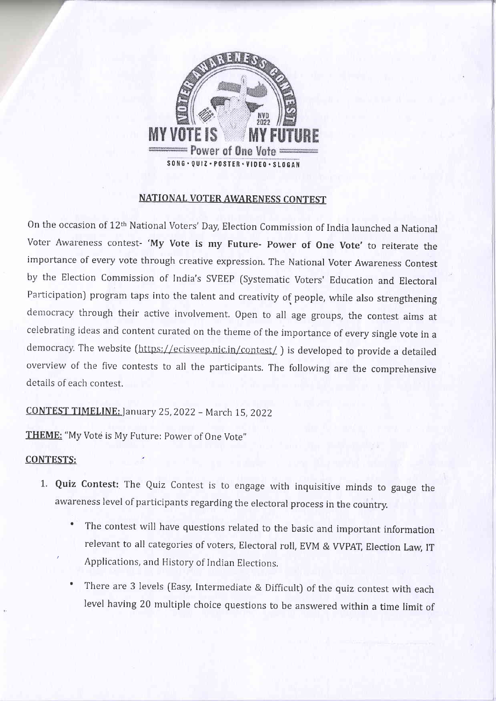

# NATIONAL VOTER AWARENESS CONTEST

On the occasion of l2th National Voters' Day, Election Commission of India launched a National Voter Awareness contest- 'My Vote is my Future- Power of One Vote' to reiterate the importance of every vote through creative expression. The National Voter Awareness Contest by the Election Conrmission of India's SVEEP (systematic Voters' Education and Electoral Participation) program taps into the talent and creativity of people, while also strengthening democracy through their active involvement. Open to all age groups, the contest aims at celebrating ideas and content curated on the theme of the importance of every single vote in <sup>a</sup> democracy. The website (https://ecisveep.nic.in/contest/) is developed to provide a detailed overview of the five contests to all the participants. The following are the comprehensive details of each contest.

CONTEST TIMELINE: January 25, 2022 - March 15, 2022

THEME: "My Vote is My Future: Power of One Vote"

#### CONTESTS:

- 1. Quiz Contest: The Quiz Contest is to engage with inquisitive minds to gauge the awareness Ievel of participants regarding the electoral process in the country.
	- The contest will have questions related to the basic and important information relevant to all categories of voters, Electoral roll, EVM & VVPAT, Election Law, IT ' Applications, and History of Indian Elections.
	- There are 3 levels (Easy, Intermediate & Difficult) of the quiz contest with each level having 20 multiple choice questions to be answered within a time limit of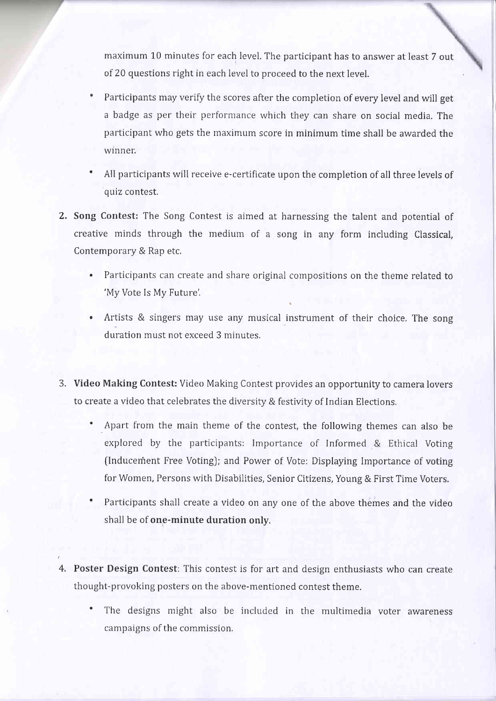maximum 10 minutes for each level. The participant has to answer at least 7 out of 20 questions right in each level to proceed to the next level.

- Participants may verify the scores after the completion of every level and will get a badge as per their performance which they can share on social media. The participant who gets the maximum score in minimum time shall be awarded the winner.
- ' All participants will receive e-certificate upon the completion of all three levels of quiz contest,
- 2. Song Contest: The Song Contest is aimed at harnessing the talent and potential of creative minds through the medium of a song in any form including Classical, Contemporary & Rap etc,
	- . Participants can create and share original cornpositions on the theme related to 'My Vote Is My Future'.
	- . Artists & singers may use any musical instrument of their choice, The song duration must not exceed 3 minutes.
- 3. Video Making Contest: Video Making Contest provides an opportunity to camera lovers to create a video that celebrates the diversity & festivity of Indian Elections,
	- Apart from the main theme of the contest, the following themes can also be explored by the participants: Importance of Informed & Ethical Voting (Inducement Free Voting); and Power of Vote: Displaying Importance of voting for Women, Persons with Disabilities, Senior Citizens, Young & First Time Voters.
	- Participants shall create a video on any one of the above themes and the video shall be of one-minute duration onlv.
- 4. Poster Design Contest: This contest is for art and design enthusiasts who can create thought-provoking posters on the above-mentioned contest theme.
	- The designs might also be included in the multimedia voter awareness campaigns of the commission.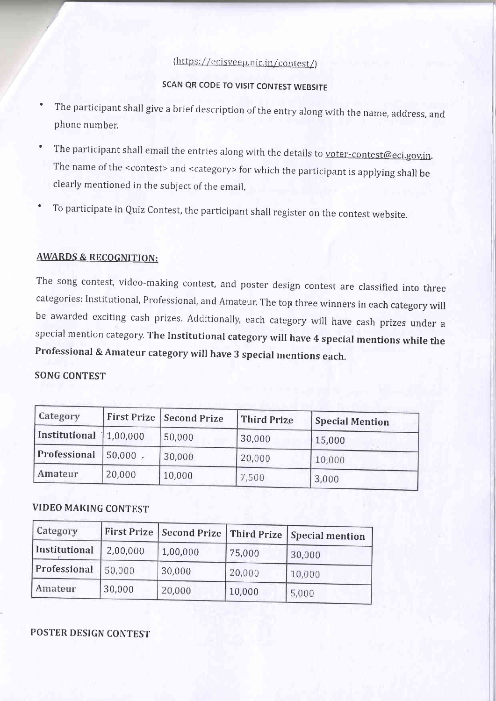# (https://ecisveep.nic.in/contest/)

# SCAN qR CODE TO VISIT CONTEST WEBSITE

- The participant shall give a brief description of the entry along with the name, address, and phone number.
- The participant shall email the entries along with the details to <u>voter-contest@eci.gov.in</u>. The name of the <contest> and <category> for which the participant is applying shall be clearly mentioned in the subject of the email.
- To participate in Quiz Contest, the participant shall register on the contest website.

### AWARDS & RECOGNITION:

The song contest, video-making contest, and poster design contest are classified into three categories: Institutional, Professional, and Amateur. The top three winners in each category will be awarded exciting cash prizes. Additionally, each category will have cash prizes under <sup>a</sup> special mention category, The Institutional category will have 4 special mentions while the Professional & Amateur category will have 3 special mentions each.

#### SONG CONTEST

| Category               |            | First Prize   Second Prize | Third Prize | <b>Special Mention</b> |
|------------------------|------------|----------------------------|-------------|------------------------|
| Institutional 1,00,000 |            | 50,000                     | 30,000      | 15,000                 |
| Professional           | $50,000$ . | 30,000                     | 20,000      | 10,000                 |
| Amateur                | 20,000     | 10,000                     | 7,500       | 3,000                  |

## VIDEO MAKING CONTEST

| Category      | First Prize | Second Prize | Third Prize | Special mention |
|---------------|-------------|--------------|-------------|-----------------|
| Institutional | 2,00,000    | 1,00,000     | 75,000      | 30,000          |
| Professional  | 50,000      | 30,000       | 20,000      | 10,000          |
| Amateur       | 30,000      | 20,000       | 10,000      | 5,000           |

### POSTER DESIGN CONTEST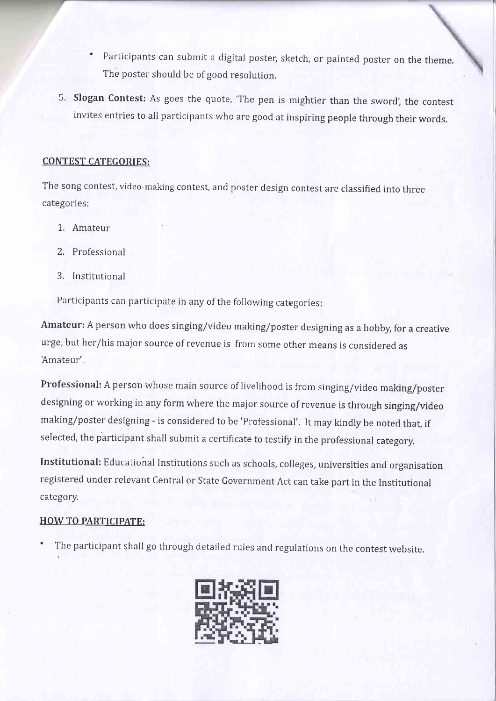- Participants can submit a digital poster, sketch, or painted poster on the theme. The poster should be of good resolution.
- 5. Slogan Contest: As goes the quote, 'The pen is mightier than the sword', the contest invites entries to all participants who are good at inspiring people through their words.

## CONTEST CATEGORIES:

The song contest, video-making contest, and poster design contest are classified into three categories:

- 1. Amateur
- 2. Professional
- 3. Institutional

Participants can participate in any of the following categories:

Amateur: A person who does singing/video making/poster designing as a hobby, for a creative urge, but her/his major source of revenue is from some other means is considered as Amateur'.

Professional: A person whose main source of livelihood is from singing/video making/poster designing or working in any form where the major source of revenue is through singing/video making/poster designing - is considered to be 'Professional'. It may kindly be noted that, if selected, the participant shall submit a certificate to testify in the professional category,

Institutional: Educational Institutions such as schools, colleges, universities and organisation registered under relevant Central or State Government Act can take part in the Institutional category.

## HOW TO PARTICIPATE:

The participant shall go through detailed rules and regulations on the contest website.

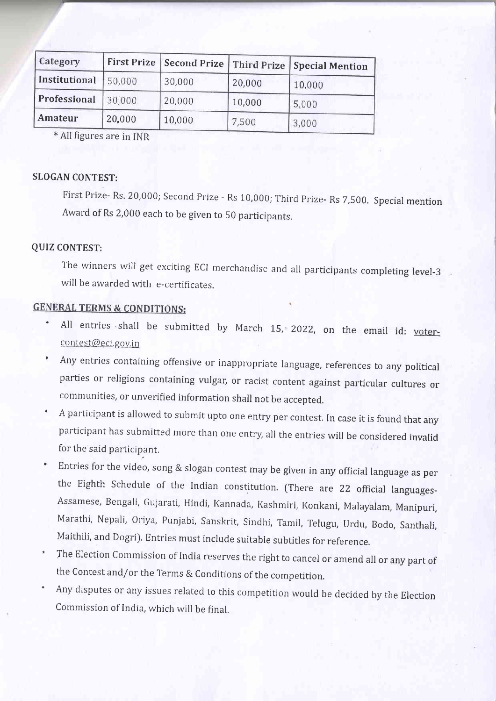| Category      | <b>First Prize</b> | <b>Second Prize</b> | Third Prize | Special Mention |
|---------------|--------------------|---------------------|-------------|-----------------|
| Institutional | 50,000             | 30,000              | 20,000      | 10,000          |
| Professional  | 30,000             | 20,000              | 10,000      | 5,000           |
| Amateur       | 20,000             | 10,000              | 7,500       | 3,000           |

\* All figures are in INR

#### SLOGAN CONTEST:

First Prize- Rs. 20,000; Second Prize - Rs 10,000; Third Prize- Rs 7,500. Special mention Award of Rs 2,000 each to be given to 50 participants.

#### QUIZ CONTEST:

The winners will get exciting ECI merchandise and all participants completing level-3 will be awarded with e-certificates.

# **GENERAL TERMS & CONDITIONS:**

- All entries shall be submitted by March 15, 2022, on the email id: votercontest@eci.gov.in
- ' Any entries containing offensive or inappropriate language, references to any political parties or religions containing vulgar, or racist content against particular cultures or communities, or unverified information shall not be accepted.
- A participant is allowed to submit upto one entry per contest. In case it is found that any participant has submitted more than one entry, all the entries will be considered invalid for the said participant,
- Entries for the video, song & slogan contest may be given in any official language as per the Eighth Schedule of the Indian constitution. (There are 22 official languages-Assamese, Bengali, Gujarati, Hindi, I{annada, Kashmiri, Konkani, Malayalam, Manipuri, Marathi, Nepali, oriya, punjabi, Sanskrit, Sindhi, Tamil, Telugu, Urdu, Bodo, Santhali, Maithili, and Dogri). Entries must include suitable subtitles for reference.
- The Election commission of India reserves the right to cancel or amend all or any part of the contest and/or the Terms & conditions of the competition.
- Any disputes or any issues related to this competirion would be decided by the Election Commission of India, which will be final.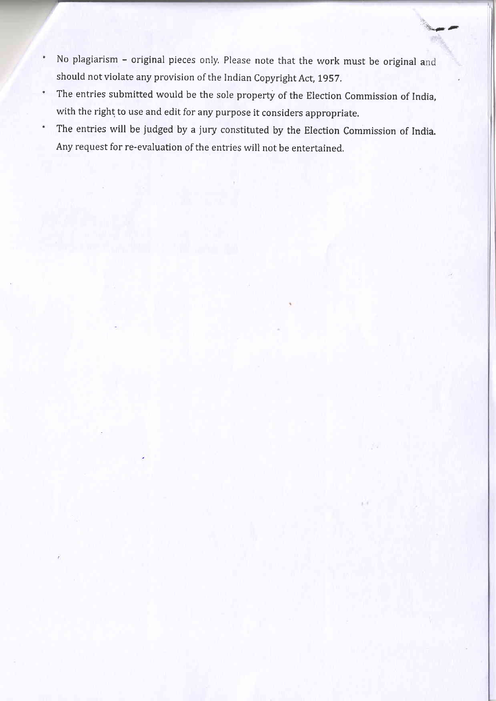No plagiarism - original pieces only, Please note that the work must be original <sup>a</sup>  $\ddot{\phantom{0}}$ should not violate any provision of the Indian Copyright Act, 1957.

 $t_{\rm th}$ 

- The entries submitted would be the sole property of the Election Commission of India,  $\bullet$ with the right to use and edit for any purpose it considers appropriate.
- The entries will be judged by a jury constituted by the Election Commission of India.  $\bullet$ Any request for re-evaluation of the entries will not be entertained,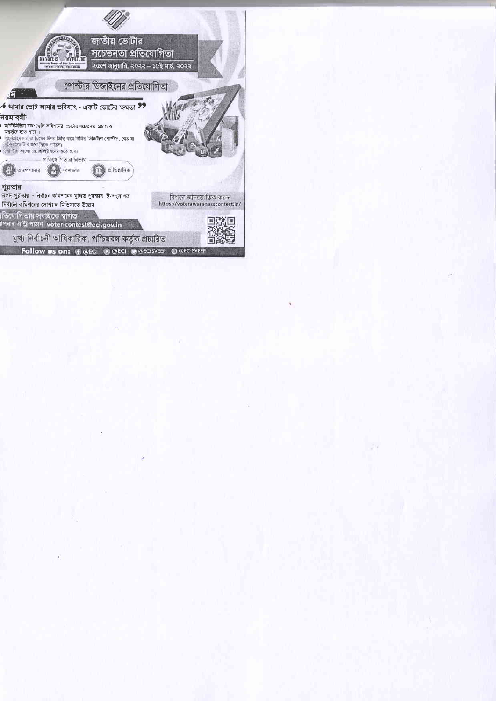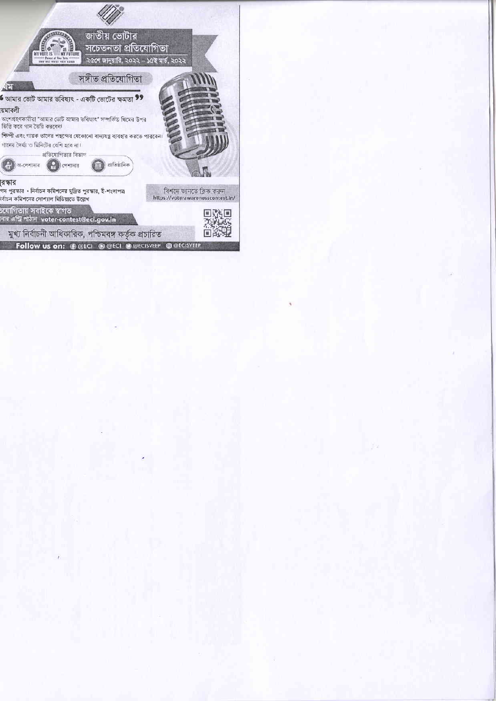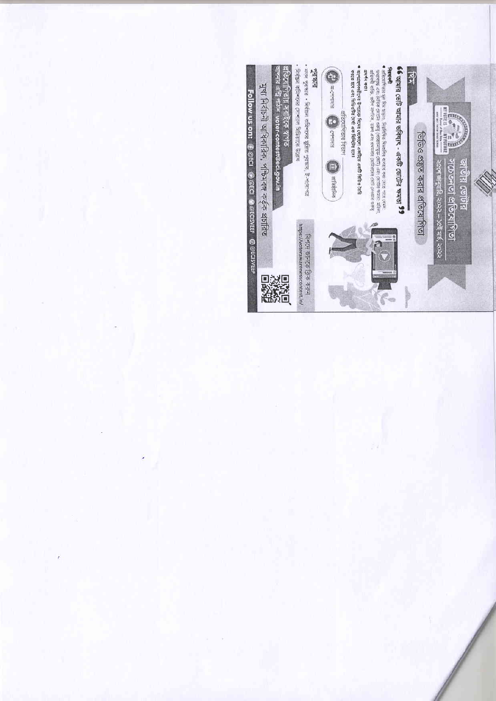